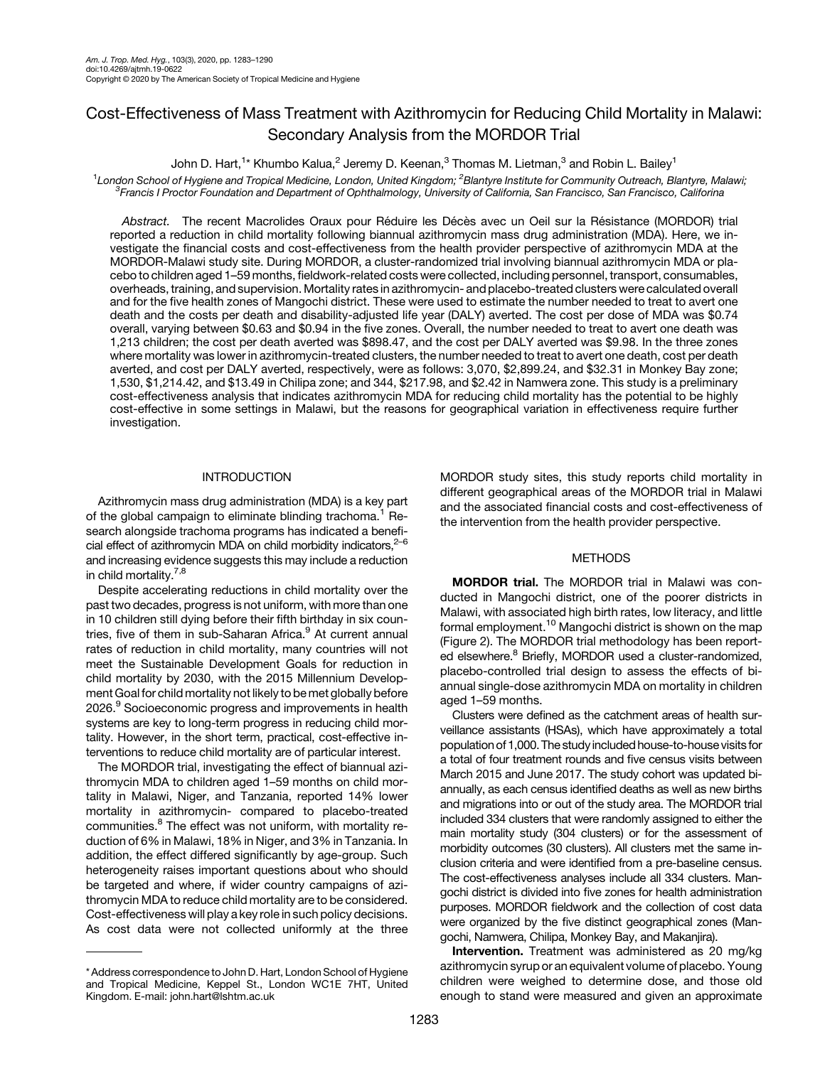# Cost-Effectiveness of Mass Treatment with Azithromycin for Reducing Child Mortality in Malawi: Secondary Analysis from the MORDOR Trial

John D. Hart, $^{1\star}$  Khumbo Kalua, $^2$  Jeremy D. Keenan, $^3$  Thomas M. Lietman, $^3$  and Robin L. Bailey $^1$ 

<sup>1</sup> London School of Hygiene and Tropical Medicine, London, United Kingdom; <sup>2</sup>Blantyre Institute for Community Outreach, Blantyre, Malawi;<br><sup>3</sup> Erancis L Proctor Foundation and Department of Ophthalmology, University of Ca  $^3$ Francis I Proctor Foundation and Department of Ophthalmology, University of California, San Francisco, San Francisco, Califorina

Abstract. The recent Macrolides Oraux pour Réduire les Décès avec un Oeil sur la Résistance (MORDOR) trial reported a reduction in child mortality following biannual azithromycin mass drug administration (MDA). Here, we investigate the financial costs and cost-effectiveness from the health provider perspective of azithromycin MDA at the MORDOR-Malawi study site. During MORDOR, a cluster-randomized trial involving biannual azithromycin MDA or placebo to children aged 1–59 months, fieldwork-related costs were collected, including personnel, transport, consumables, overheads, training, and supervision. Mortality rates in azithromycin- and placebo-treated clusters were calculated overall and for the five health zones of Mangochi district. These were used to estimate the number needed to treat to avert one death and the costs per death and disability-adjusted life year (DALY) averted. The cost per dose of MDA was \$0.74 overall, varying between \$0.63 and \$0.94 in the five zones. Overall, the number needed to treat to avert one death was 1,213 children; the cost per death averted was \$898.47, and the cost per DALY averted was \$9.98. In the three zones where mortality was lower in azithromycin-treated clusters, the number needed to treat to avert one death, cost per death averted, and cost per DALY averted, respectively, were as follows: 3,070, \$2,899.24, and \$32.31 in Monkey Bay zone; 1,530, \$1,214.42, and \$13.49 in Chilipa zone; and 344, \$217.98, and \$2.42 in Namwera zone. This study is a preliminary cost-effectiveness analysis that indicates azithromycin MDA for reducing child mortality has the potential to be highly cost-effective in some settings in Malawi, but the reasons for geographical variation in effectiveness require further investigation.

# INTRODUCTION

Azithromycin mass drug administration (MDA) is a key part of the global campaign to eliminate blinding trachoma.<sup>[1](#page-6-0)</sup> Research alongside trachoma programs has indicated a beneficial effect of azithromycin MDA on child morbidity indicators, $2-6$  $2-6$ and increasing evidence suggests this may include a reduction in child mortality.<sup>7,8</sup>

Despite accelerating reductions in child mortality over the past two decades, progress is not uniform, with more than one in 10 children still dying before their fifth birthday in six coun-tries, five of them in sub-Saharan Africa.<sup>[9](#page-6-0)</sup> At current annual rates of reduction in child mortality, many countries will not meet the Sustainable Development Goals for reduction in child mortality by 2030, with the 2015 Millennium Development Goal for child mortality not likely to be met globally before 2026.<sup>[9](#page-6-0)</sup> Socioeconomic progress and improvements in health systems are key to long-term progress in reducing child mortality. However, in the short term, practical, cost-effective interventions to reduce child mortality are of particular interest.

The MORDOR trial, investigating the effect of biannual azithromycin MDA to children aged 1–59 months on child mortality in Malawi, Niger, and Tanzania, reported 14% lower mortality in azithromycin- compared to placebo-treated communities.<sup>[8](#page-6-0)</sup> The effect was not uniform, with mortality reduction of 6% in Malawi, 18% in Niger, and 3% in Tanzania. In addition, the effect differed significantly by age-group. Such heterogeneity raises important questions about who should be targeted and where, if wider country campaigns of azithromycin MDA to reduce child mortality are to be considered. Cost-effectiveness will play a key role in such policy decisions. As cost data were not collected uniformly at the three MORDOR study sites, this study reports child mortality in different geographical areas of the MORDOR trial in Malawi and the associated financial costs and cost-effectiveness of the intervention from the health provider perspective.

## **METHODS**

MORDOR trial. The MORDOR trial in Malawi was conducted in Mangochi district, one of the poorer districts in Malawi, with associated high birth rates, low literacy, and little formal employment.<sup>[10](#page-6-0)</sup> Mangochi district is shown on the map (Figure 2). The MORDOR trial methodology has been report-ed elsewhere.<sup>[8](#page-6-0)</sup> Briefly, MORDOR used a cluster-randomized, placebo-controlled trial design to assess the effects of biannual single-dose azithromycin MDA on mortality in children aged 1–59 months.

Clusters were defined as the catchment areas of health surveillance assistants (HSAs), which have approximately a total population of 1,000. The study included house-to-house visits for a total of four treatment rounds and five census visits between March 2015 and June 2017. The study cohort was updated biannually, as each census identified deaths as well as new births and migrations into or out of the study area. The MORDOR trial included 334 clusters that were randomly assigned to either the main mortality study (304 clusters) or for the assessment of morbidity outcomes (30 clusters). All clusters met the same inclusion criteria and were identified from a pre-baseline census. The cost-effectiveness analyses include all 334 clusters. Mangochi district is divided into five zones for health administration purposes. MORDOR fieldwork and the collection of cost data were organized by the five distinct geographical zones (Mangochi, Namwera, Chilipa, Monkey Bay, and Makanjira).

Intervention. Treatment was administered as 20 mg/kg azithromycin syrup or an equivalent volume of placebo. Young children were weighed to determine dose, and those old enough to stand were measured and given an approximate

<sup>\*</sup> Address correspondence to John D. Hart, London School of Hygiene and Tropical Medicine, Keppel St., London WC1E 7HT, United Kingdom. E-mail: [john.hart@lshtm.ac.uk](mailto:john.hart@lshtm.ac.uk)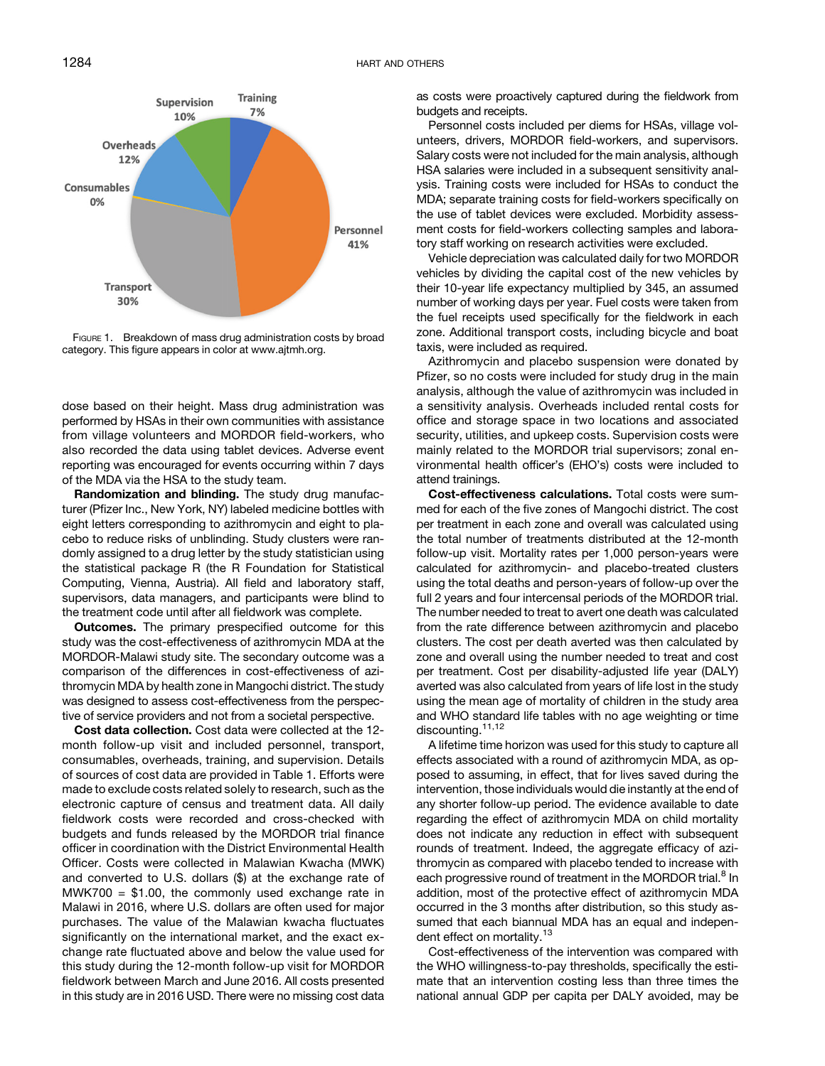<span id="page-1-0"></span>

FIGURE 1. Breakdown of mass drug administration costs by broad category. This figure appears in color at [www.ajtmh.org.](http://www.ajtmh.org)

dose based on their height. Mass drug administration was performed by HSAs in their own communities with assistance from village volunteers and MORDOR field-workers, who also recorded the data using tablet devices. Adverse event reporting was encouraged for events occurring within 7 days of the MDA via the HSA to the study team.

Randomization and blinding. The study drug manufacturer (Pfizer Inc., New York, NY) labeled medicine bottles with eight letters corresponding to azithromycin and eight to placebo to reduce risks of unblinding. Study clusters were randomly assigned to a drug letter by the study statistician using the statistical package R (the R Foundation for Statistical Computing, Vienna, Austria). All field and laboratory staff, supervisors, data managers, and participants were blind to the treatment code until after all fieldwork was complete.

**Outcomes.** The primary prespecified outcome for this study was the cost-effectiveness of azithromycin MDA at the MORDOR-Malawi study site. The secondary outcome was a comparison of the differences in cost-effectiveness of azithromycin MDA by health zone in Mangochi district. The study was designed to assess cost-effectiveness from the perspective of service providers and not from a societal perspective.

Cost data collection. Cost data were collected at the 12 month follow-up visit and included personnel, transport, consumables, overheads, training, and supervision. Details of sources of cost data are provided in [Table 1](#page-2-0). Efforts were made to exclude costs related solely to research, such as the electronic capture of census and treatment data. All daily fieldwork costs were recorded and cross-checked with budgets and funds released by the MORDOR trial finance officer in coordination with the District Environmental Health Officer. Costs were collected in Malawian Kwacha (MWK) and converted to U.S. dollars (\$) at the exchange rate of  $MWK700 = $1.00$ , the commonly used exchange rate in Malawi in 2016, where U.S. dollars are often used for major purchases. The value of the Malawian kwacha fluctuates significantly on the international market, and the exact exchange rate fluctuated above and below the value used for this study during the 12-month follow-up visit for MORDOR fieldwork between March and June 2016. All costs presented in this study are in 2016 USD. There were no missing cost data

as costs were proactively captured during the fieldwork from budgets and receipts.

Personnel costs included per diems for HSAs, village volunteers, drivers, MORDOR field-workers, and supervisors. Salary costs were not included for the main analysis, although HSA salaries were included in a subsequent sensitivity analysis. Training costs were included for HSAs to conduct the MDA; separate training costs for field-workers specifically on the use of tablet devices were excluded. Morbidity assessment costs for field-workers collecting samples and laboratory staff working on research activities were excluded.

Vehicle depreciation was calculated daily for two MORDOR vehicles by dividing the capital cost of the new vehicles by their 10-year life expectancy multiplied by 345, an assumed number of working days per year. Fuel costs were taken from the fuel receipts used specifically for the fieldwork in each zone. Additional transport costs, including bicycle and boat taxis, were included as required.

Azithromycin and placebo suspension were donated by Pfizer, so no costs were included for study drug in the main analysis, although the value of azithromycin was included in a sensitivity analysis. Overheads included rental costs for office and storage space in two locations and associated security, utilities, and upkeep costs. Supervision costs were mainly related to the MORDOR trial supervisors; zonal environmental health officer's (EHO's) costs were included to attend trainings.

Cost-effectiveness calculations. Total costs were summed for each of the five zones of Mangochi district. The cost per treatment in each zone and overall was calculated using the total number of treatments distributed at the 12-month follow-up visit. Mortality rates per 1,000 person-years were calculated for azithromycin- and placebo-treated clusters using the total deaths and person-years of follow-up over the full 2 years and four intercensal periods of the MORDOR trial. The number needed to treat to avert one death was calculated from the rate difference between azithromycin and placebo clusters. The cost per death averted was then calculated by zone and overall using the number needed to treat and cost per treatment. Cost per disability-adjusted life year (DALY) averted was also calculated from years of life lost in the study using the mean age of mortality of children in the study area and WHO standard life tables with no age weighting or time discounting.<sup>[11,12](#page-6-0)</sup>

A lifetime time horizon was used for this study to capture all effects associated with a round of azithromycin MDA, as opposed to assuming, in effect, that for lives saved during the intervention, those individuals would die instantly at the end of any shorter follow-up period. The evidence available to date regarding the effect of azithromycin MDA on child mortality does not indicate any reduction in effect with subsequent rounds of treatment. Indeed, the aggregate efficacy of azithromycin as compared with placebo tended to increase with each progressive round of treatment in the MORDOR trial.<sup>[8](#page-6-0)</sup> In addition, most of the protective effect of azithromycin MDA occurred in the 3 months after distribution, so this study assumed that each biannual MDA has an equal and indepen-dent effect on mortality.<sup>[13](#page-6-0)</sup>

Cost-effectiveness of the intervention was compared with the WHO willingness-to-pay thresholds, specifically the estimate that an intervention costing less than three times the national annual GDP per capita per DALY avoided, may be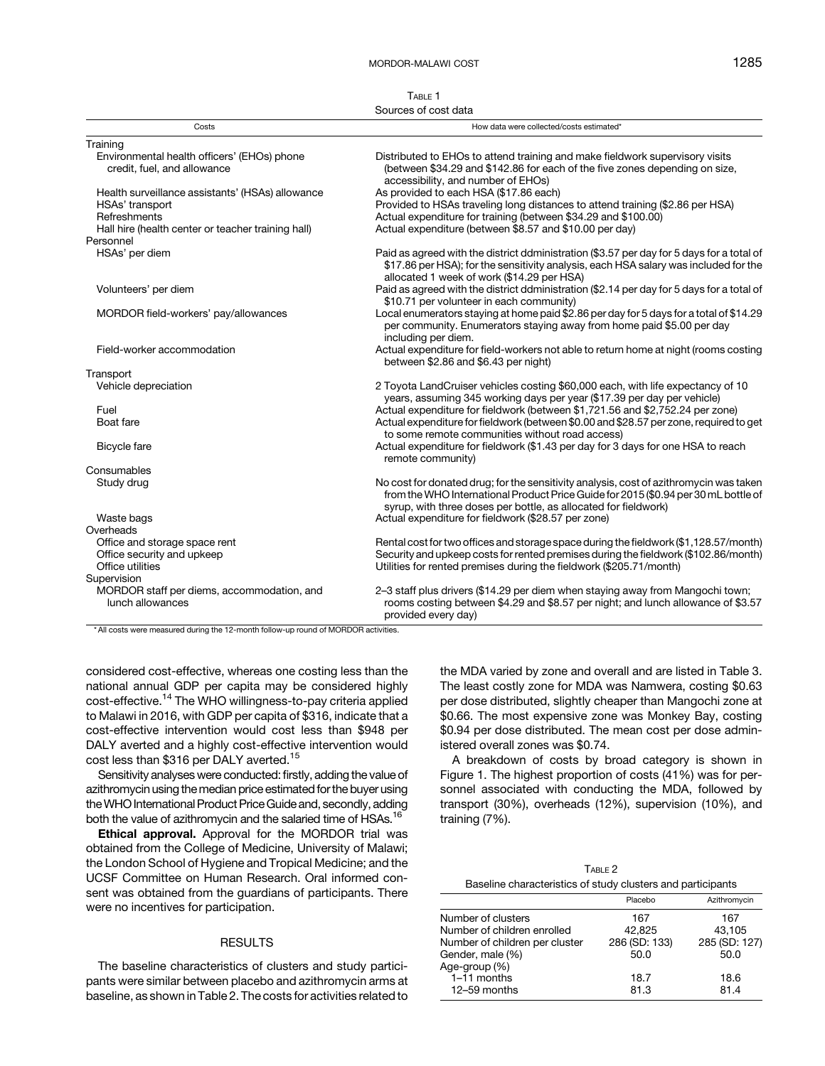TABLE 1 Sources of cost data

<span id="page-2-0"></span>

| Costs                                                                      | How data were collected/costs estimated*                                                                                                                                                                                                         |
|----------------------------------------------------------------------------|--------------------------------------------------------------------------------------------------------------------------------------------------------------------------------------------------------------------------------------------------|
| Training                                                                   |                                                                                                                                                                                                                                                  |
| Environmental health officers' (EHOs) phone<br>credit, fuel, and allowance | Distributed to EHOs to attend training and make fieldwork supervisory visits<br>(between \$34.29 and \$142.86 for each of the five zones depending on size,<br>accessibility, and number of EHOs)                                                |
| Health surveillance assistants' (HSAs) allowance                           | As provided to each HSA (\$17.86 each)                                                                                                                                                                                                           |
| HSAs' transport                                                            | Provided to HSAs traveling long distances to attend training (\$2.86 per HSA)                                                                                                                                                                    |
| Refreshments                                                               | Actual expenditure for training (between \$34.29 and \$100.00)                                                                                                                                                                                   |
| Hall hire (health center or teacher training hall)                         | Actual expenditure (between \$8.57 and \$10.00 per day)                                                                                                                                                                                          |
| Personnel                                                                  |                                                                                                                                                                                                                                                  |
| HSAs' per diem                                                             | Paid as agreed with the district ddministration (\$3.57 per day for 5 days for a total of<br>\$17.86 per HSA); for the sensitivity analysis, each HSA salary was included for the<br>allocated 1 week of work (\$14.29 per HSA)                  |
| Volunteers' per diem                                                       | Paid as agreed with the district ddministration (\$2.14 per day for 5 days for a total of<br>\$10.71 per volunteer in each community)                                                                                                            |
| MORDOR field-workers' pay/allowances                                       | Local enumerators staying at home paid \$2.86 per day for 5 days for a total of \$14.29<br>per community. Enumerators staying away from home paid \$5.00 per day<br>including per diem.                                                          |
| Field-worker accommodation                                                 | Actual expenditure for field-workers not able to return home at night (rooms costing<br>between \$2.86 and \$6.43 per night)                                                                                                                     |
| Transport                                                                  |                                                                                                                                                                                                                                                  |
| Vehicle depreciation                                                       | 2 Toyota LandCruiser vehicles costing \$60,000 each, with life expectancy of 10<br>years, assuming 345 working days per year (\$17.39 per day per vehicle)                                                                                       |
| Fuel                                                                       | Actual expenditure for fieldwork (between \$1,721.56 and \$2,752.24 per zone)                                                                                                                                                                    |
| Boat fare                                                                  | Actual expenditure for fieldwork (between \$0.00 and \$28.57 per zone, required to get<br>to some remote communities without road access)                                                                                                        |
| Bicycle fare                                                               | Actual expenditure for fieldwork (\$1.43 per day for 3 days for one HSA to reach<br>remote community)                                                                                                                                            |
| Consumables                                                                |                                                                                                                                                                                                                                                  |
| Study drug                                                                 | No cost for donated drug; for the sensitivity analysis, cost of azithromycin was taken<br>from the WHO International Product Price Guide for 2015 (\$0.94 per 30 mL bottle of<br>syrup, with three doses per bottle, as allocated for fieldwork) |
| Waste bags                                                                 | Actual expenditure for fieldwork (\$28.57 per zone)                                                                                                                                                                                              |
| Overheads                                                                  |                                                                                                                                                                                                                                                  |
| Office and storage space rent                                              | Rental cost for two offices and storage space during the fieldwork (\$1,128.57/month)                                                                                                                                                            |
| Office security and upkeep                                                 | Security and upkeep costs for rented premises during the fieldwork (\$102.86/month)                                                                                                                                                              |
| Office utilities                                                           | Utilities for rented premises during the fieldwork (\$205.71/month)                                                                                                                                                                              |
| Supervision                                                                |                                                                                                                                                                                                                                                  |
| MORDOR staff per diems, accommodation, and<br>lunch allowances             | 2–3 staff plus drivers (\$14.29 per diem when staying away from Mangochi town;<br>rooms costing between \$4.29 and \$8.57 per night; and lunch allowance of \$3.57<br>provided every day)                                                        |

\* All costs were measured during the 12-month follow-up round of MORDOR activities.

considered cost-effective, whereas one costing less than the national annual GDP per capita may be considered highly cost-effective.[14](#page-6-0) The WHO willingness-to-pay criteria applied to Malawi in 2016, with GDP per capita of \$316, indicate that a cost-effective intervention would cost less than \$948 per DALY averted and a highly cost-effective intervention would cost less than \$316 per DALY averted.<sup>[15](#page-6-0)</sup>

Sensitivity analyses were conducted: firstly, adding the value of azithromycin using the median price estimated for the buyer using theWHO International Product Price Guide and, secondly, adding both the value of azithromycin and the salaried time of HSAs.<sup>16</sup>

Ethical approval. Approval for the MORDOR trial was obtained from the College of Medicine, University of Malawi; the London School of Hygiene and Tropical Medicine; and the UCSF Committee on Human Research. Oral informed consent was obtained from the guardians of participants. There were no incentives for participation.

#### RESULTS

The baseline characteristics of clusters and study participants were similar between placebo and azithromycin arms at baseline, as shown in Table 2. The costs for activities related to the MDA varied by zone and overall and are listed in [Table 3](#page-3-0). The least costly zone for MDA was Namwera, costing \$0.63 per dose distributed, slightly cheaper than Mangochi zone at \$0.66. The most expensive zone was Monkey Bay, costing \$0.94 per dose distributed. The mean cost per dose administered overall zones was \$0.74.

A breakdown of costs by broad category is shown in [Figure 1](#page-1-0). The highest proportion of costs (41%) was for personnel associated with conducting the MDA, followed by transport (30%), overheads (12%), supervision (10%), and training (7%).

| TABLE 2                                                     |
|-------------------------------------------------------------|
| Baseline characteristics of study clusters and participants |

|                                | Placebo       | Azithromycin  |
|--------------------------------|---------------|---------------|
| Number of clusters             | 167           | 167           |
| Number of children enrolled    | 42.825        | 43,105        |
| Number of children per cluster | 286 (SD: 133) | 285 (SD: 127) |
| Gender, male (%)               | 50.0          | 50.0          |
| Age-group (%)                  |               |               |
| 1-11 months                    | 18.7          | 18.6          |
| 12-59 months                   | 81.3          | 814           |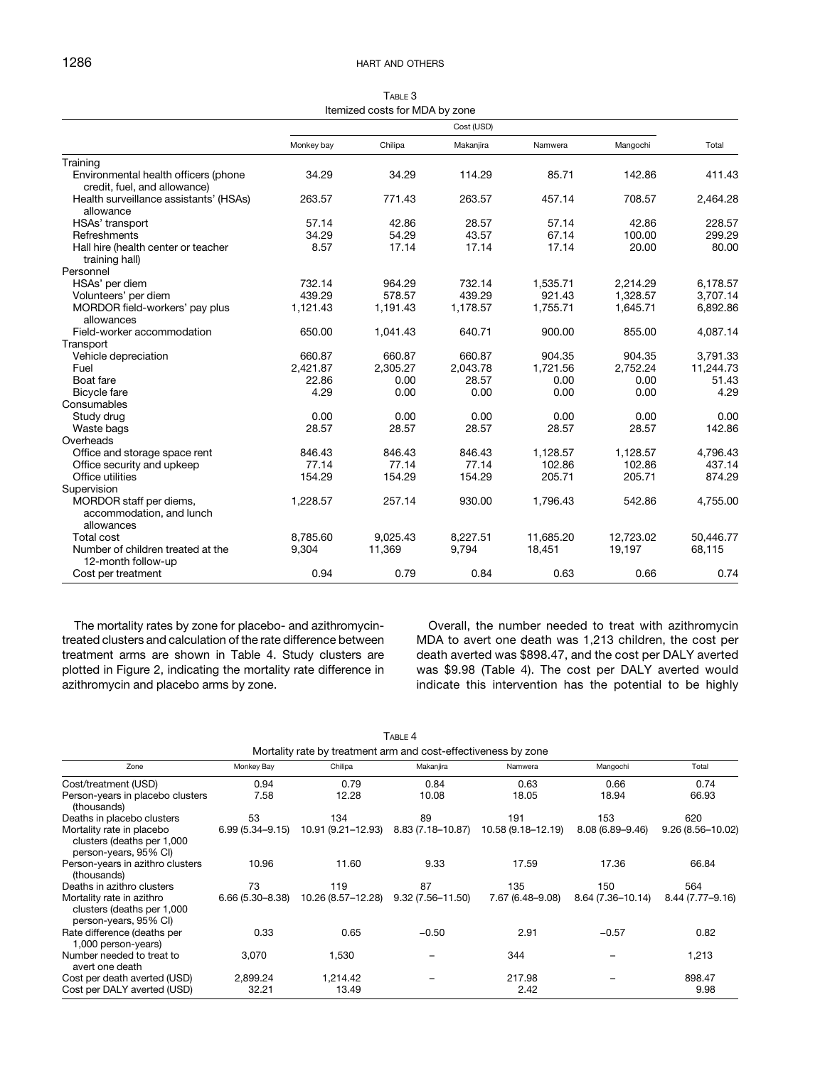| TABLE 3                        |
|--------------------------------|
| Itemized costs for MDA by zone |

<span id="page-3-0"></span>

|                                                                      | Cost (USD) |          |           |           |           |           |
|----------------------------------------------------------------------|------------|----------|-----------|-----------|-----------|-----------|
|                                                                      | Monkey bay | Chilipa  | Makanjira | Namwera   | Mangochi  | Total     |
| Training                                                             |            |          |           |           |           |           |
| Environmental health officers (phone<br>credit, fuel, and allowance) | 34.29      | 34.29    | 114.29    | 85.71     | 142.86    | 411.43    |
| Health surveillance assistants' (HSAs)<br>allowance                  | 263.57     | 771.43   | 263.57    | 457.14    | 708.57    | 2,464.28  |
| HSAs' transport                                                      | 57.14      | 42.86    | 28.57     | 57.14     | 42.86     | 228.57    |
| Refreshments                                                         | 34.29      | 54.29    | 43.57     | 67.14     | 100.00    | 299.29    |
| Hall hire (health center or teacher<br>training hall)                | 8.57       | 17.14    | 17.14     | 17.14     | 20.00     | 80.00     |
| Personnel                                                            |            |          |           |           |           |           |
| HSAs' per diem                                                       | 732.14     | 964.29   | 732.14    | 1,535.71  | 2,214.29  | 6,178.57  |
| Volunteers' per diem                                                 | 439.29     | 578.57   | 439.29    | 921.43    | 1.328.57  | 3,707.14  |
| MORDOR field-workers' pay plus<br>allowances                         | 1,121.43   | 1,191.43 | 1,178.57  | 1.755.71  | 1,645.71  | 6,892.86  |
| Field-worker accommodation                                           | 650.00     | 1,041.43 | 640.71    | 900.00    | 855.00    | 4,087.14  |
| Transport                                                            |            |          |           |           |           |           |
| Vehicle depreciation                                                 | 660.87     | 660.87   | 660.87    | 904.35    | 904.35    | 3,791.33  |
| Fuel                                                                 | 2,421.87   | 2,305.27 | 2,043.78  | 1,721.56  | 2,752.24  | 11,244.73 |
| Boat fare                                                            | 22.86      | 0.00     | 28.57     | 0.00      | 0.00      | 51.43     |
| <b>Bicycle fare</b>                                                  | 4.29       | 0.00     | 0.00      | 0.00      | 0.00      | 4.29      |
| Consumables                                                          |            |          |           |           |           |           |
| Study drug                                                           | 0.00       | 0.00     | 0.00      | 0.00      | 0.00      | 0.00      |
| Waste bags                                                           | 28.57      | 28.57    | 28.57     | 28.57     | 28.57     | 142.86    |
| Overheads                                                            |            |          |           |           |           |           |
| Office and storage space rent                                        | 846.43     | 846.43   | 846.43    | 1.128.57  | 1.128.57  | 4,796.43  |
| Office security and upkeep                                           | 77.14      | 77.14    | 77.14     | 102.86    | 102.86    | 437.14    |
| Office utilities                                                     | 154.29     | 154.29   | 154.29    | 205.71    | 205.71    | 874.29    |
| Supervision                                                          |            |          |           |           |           |           |
| MORDOR staff per diems,<br>accommodation, and lunch<br>allowances    | 1,228.57   | 257.14   | 930.00    | 1,796.43  | 542.86    | 4,755.00  |
| <b>Total cost</b>                                                    | 8.785.60   | 9.025.43 | 8.227.51  | 11.685.20 | 12.723.02 | 50,446.77 |
| Number of children treated at the                                    | 9,304      | 11,369   | 9.794     | 18.451    | 19,197    | 68,115    |
| 12-month follow-up                                                   |            |          |           |           |           |           |
| Cost per treatment                                                   | 0.94       | 0.79     | 0.84      | 0.63      | 0.66      | 0.74      |

The mortality rates by zone for placebo- and azithromycintreated clusters and calculation of the rate difference between treatment arms are shown in Table 4. Study clusters are plotted in Figure 2, indicating the mortality rate difference in azithromycin and placebo arms by zone.

Overall, the number needed to treat with azithromycin MDA to avert one death was 1,213 children, the cost per death averted was \$898.47, and the cost per DALY averted was \$9.98 (Table 4). The cost per DALY averted would indicate this intervention has the potential to be highly

| Mortality rate by treatment arm and cost-effectiveness by zone                   |                     |                    |                      |                    |                   |                      |  |
|----------------------------------------------------------------------------------|---------------------|--------------------|----------------------|--------------------|-------------------|----------------------|--|
| Zone                                                                             | Monkey Bay          | Chilipa            | Makanjira            | Namwera            | Mangochi          | Total                |  |
| Cost/treatment (USD)                                                             | 0.94                | 0.79               | 0.84                 | 0.63               | 0.66              | 0.74                 |  |
| Person-years in placebo clusters<br>(thousands)                                  | 7.58                | 12.28              | 10.08                | 18.05              | 18.94             | 66.93                |  |
| Deaths in placebo clusters                                                       | 53                  | 134                | 89                   | 191                | 153               | 620                  |  |
| Mortality rate in placebo<br>clusters (deaths per 1,000<br>person-years, 95% CI) | $6.99(5.34 - 9.15)$ | 10.91 (9.21–12.93) | 8.83 (7.18–10.87)    | 10.58 (9.18–12.19) | 8.08 (6.89-9.46)  | $9.26(8.56 - 10.02)$ |  |
| Person-years in azithro clusters<br>(thousands)                                  | 10.96               | 11.60              | 9.33                 | 17.59              | 17.36             | 66.84                |  |
| Deaths in azithro clusters                                                       | 73                  | 119                | 87                   | 135                | 150               | 564                  |  |
| Mortality rate in azithro<br>clusters (deaths per 1,000<br>person-years, 95% CI) | $6.66(5.30 - 8.38)$ | 10.26 (8.57-12.28) | $9.32(7.56 - 11.50)$ | 7.67 (6.48–9.08)   | 8.64 (7.36-10.14) | 8.44 (7.77-9.16)     |  |
| Rate difference (deaths per<br>1,000 person-years)                               | 0.33                | 0.65               | $-0.50$              | 2.91               | $-0.57$           | 0.82                 |  |
| Number needed to treat to<br>avert one death                                     | 3,070               | 1,530              |                      | 344                |                   | 1,213                |  |
| Cost per death averted (USD)                                                     | 2,899.24            | 1,214.42           |                      | 217.98             |                   | 898.47               |  |
| Cost per DALY averted (USD)                                                      | 32.21               | 13.49              |                      | 2.42               |                   | 9.98                 |  |

TABLE 4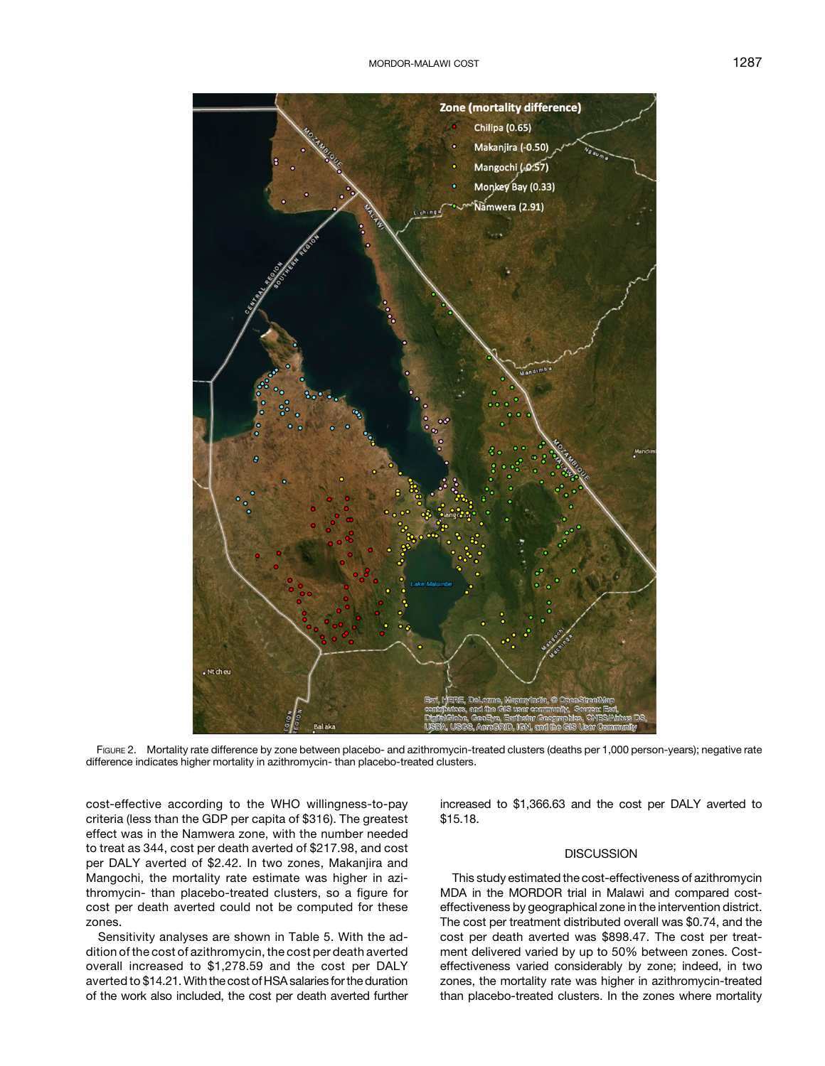

FIGURE 2. Mortality rate difference by zone between placebo- and azithromycin-treated clusters (deaths per 1,000 person-years); negative rate difference indicates higher mortality in azithromycin- than placebo-treated clusters.

cost-effective according to the WHO willingness-to-pay criteria (less than the GDP per capita of \$316). The greatest effect was in the Namwera zone, with the number needed to treat as 344, cost per death averted of \$217.98, and cost per DALY averted of \$2.42. In two zones, Makanjira and Mangochi, the mortality rate estimate was higher in azithromycin- than placebo-treated clusters, so a figure for cost per death averted could not be computed for these zones.

Sensitivity analyses are shown in [Table 5](#page-5-0). With the addition of the cost of azithromycin, the cost per death averted overall increased to \$1,278.59 and the cost per DALY averted to \$14.21. With the cost of HSA salaries for the duration of the work also included, the cost per death averted further increased to \$1,366.63 and the cost per DALY averted to \$15.18.

## **DISCUSSION**

This study estimated the cost-effectiveness of azithromycin MDA in the MORDOR trial in Malawi and compared costeffectiveness by geographical zone in the intervention district. The cost per treatment distributed overall was \$0.74, and the cost per death averted was \$898.47. The cost per treatment delivered varied by up to 50% between zones. Costeffectiveness varied considerably by zone; indeed, in two zones, the mortality rate was higher in azithromycin-treated than placebo-treated clusters. In the zones where mortality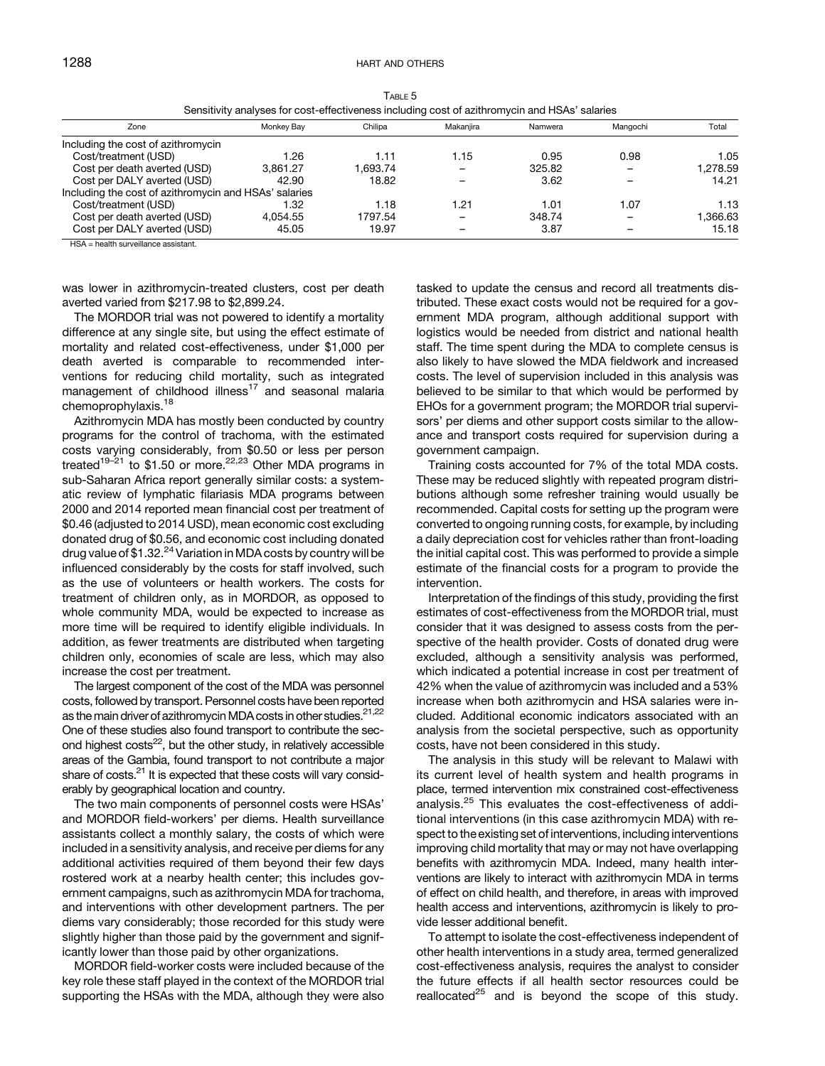<span id="page-5-0"></span>

|                                                       | Sensitivity analyses for cost-effectiveness including cost of azithromycin and HSAs' salaries |         |           |         |          |          |
|-------------------------------------------------------|-----------------------------------------------------------------------------------------------|---------|-----------|---------|----------|----------|
| Zone                                                  | Monkey Bay                                                                                    | Chilipa | Makaniira | Namwera | Mangochi | Total    |
| Including the cost of azithromycin                    |                                                                                               |         |           |         |          |          |
| Cost/treatment (USD)                                  | 1.26                                                                                          | 1.11    | 1.15      | 0.95    | 0.98     | 1.05     |
| Cost per death averted (USD)                          | 3.861.27                                                                                      | .693.74 |           | 325.82  |          | 1.278.59 |
| Cost per DALY averted (USD)                           | 42.90                                                                                         | 18.82   |           | 3.62    |          | 14.21    |
| Including the cost of azithromycin and HSAs' salaries |                                                                                               |         |           |         |          |          |
| Cost/treatment (USD)                                  | I.32                                                                                          | 1.18    | 1.21      | 1.01    | 1.07     | 1.13     |
| Cost per death averted (USD)                          | 4.054.55                                                                                      | 1797.54 |           | 348.74  |          | 1.366.63 |
| Cost per DALY averted (USD)                           | 45.05                                                                                         | 19.97   |           | 3.87    |          | 15.18    |

TABLE 5 Sensitivity analyses for cost-effectiveness including cost of azithromycin and HSAs' salaries

HSA = health surveillance assistant.

was lower in azithromycin-treated clusters, cost per death averted varied from \$217.98 to \$2,899.24.

The MORDOR trial was not powered to identify a mortality difference at any single site, but using the effect estimate of mortality and related cost-effectiveness, under \$1,000 per death averted is comparable to recommended interventions for reducing child mortality, such as integrated management of childhood illness<sup>[17](#page-6-0)</sup> and seasonal malaria chemoprophylaxis.<sup>[18](#page-6-0)</sup>

Azithromycin MDA has mostly been conducted by country programs for the control of trachoma, with the estimated costs varying considerably, from \$0.50 or less per person treated<sup>[19](#page-6-0)–[21](#page-6-0)</sup> to \$1.50 or more.<sup>[22,](#page-6-0)[23](#page-7-0)</sup> Other MDA programs in sub-Saharan Africa report generally similar costs: a systematic review of lymphatic filariasis MDA programs between 2000 and 2014 reported mean financial cost per treatment of \$0.46 (adjusted to 2014 USD), mean economic cost excluding donated drug of \$0.56, and economic cost including donated drug value of \$1.32. $^{24}$  $^{24}$  $^{24}$  Variation in MDA costs by country will be influenced considerably by the costs for staff involved, such as the use of volunteers or health workers. The costs for treatment of children only, as in MORDOR, as opposed to whole community MDA, would be expected to increase as more time will be required to identify eligible individuals. In addition, as fewer treatments are distributed when targeting children only, economies of scale are less, which may also increase the cost per treatment.

The largest component of the cost of the MDA was personnel costs, followed by transport. Personnel costs have been reported as the main driver of azithromycin MDA costs in other studies.<sup>[21,22](#page-6-0)</sup> One of these studies also found transport to contribute the second highest  $costs<sup>22</sup>$  $costs<sup>22</sup>$  $costs<sup>22</sup>$ , but the other study, in relatively accessible areas of the Gambia, found transport to not contribute a major share of costs.<sup>21</sup> It is expected that these costs will vary considerably by geographical location and country.

The two main components of personnel costs were HSAs' and MORDOR field-workers' per diems. Health surveillance assistants collect a monthly salary, the costs of which were included in a sensitivity analysis, and receive per diems for any additional activities required of them beyond their few days rostered work at a nearby health center; this includes government campaigns, such as azithromycin MDA for trachoma, and interventions with other development partners. The per diems vary considerably; those recorded for this study were slightly higher than those paid by the government and significantly lower than those paid by other organizations.

MORDOR field-worker costs were included because of the key role these staff played in the context of the MORDOR trial supporting the HSAs with the MDA, although they were also tasked to update the census and record all treatments distributed. These exact costs would not be required for a government MDA program, although additional support with logistics would be needed from district and national health staff. The time spent during the MDA to complete census is also likely to have slowed the MDA fieldwork and increased costs. The level of supervision included in this analysis was believed to be similar to that which would be performed by EHOs for a government program; the MORDOR trial supervisors' per diems and other support costs similar to the allowance and transport costs required for supervision during a government campaign.

Training costs accounted for 7% of the total MDA costs. These may be reduced slightly with repeated program distributions although some refresher training would usually be recommended. Capital costs for setting up the program were converted to ongoing running costs, for example, by including a daily depreciation cost for vehicles rather than front-loading the initial capital cost. This was performed to provide a simple estimate of the financial costs for a program to provide the intervention.

Interpretation of the findings of this study, providing the first estimates of cost-effectiveness from the MORDOR trial, must consider that it was designed to assess costs from the perspective of the health provider. Costs of donated drug were excluded, although a sensitivity analysis was performed, which indicated a potential increase in cost per treatment of 42% when the value of azithromycin was included and a 53% increase when both azithromycin and HSA salaries were included. Additional economic indicators associated with an analysis from the societal perspective, such as opportunity costs, have not been considered in this study.

The analysis in this study will be relevant to Malawi with its current level of health system and health programs in place, termed intervention mix constrained cost-effectiveness analysis.[25](#page-7-0) This evaluates the cost-effectiveness of additional interventions (in this case azithromycin MDA) with respect to the existing set of interventions, including interventions improving child mortality that may or may not have overlapping benefits with azithromycin MDA. Indeed, many health interventions are likely to interact with azithromycin MDA in terms of effect on child health, and therefore, in areas with improved health access and interventions, azithromycin is likely to provide lesser additional benefit.

To attempt to isolate the cost-effectiveness independent of other health interventions in a study area, termed generalized cost-effectiveness analysis, requires the analyst to consider the future effects if all health sector resources could be reallocated $^{25}$  $^{25}$  $^{25}$  and is beyond the scope of this study.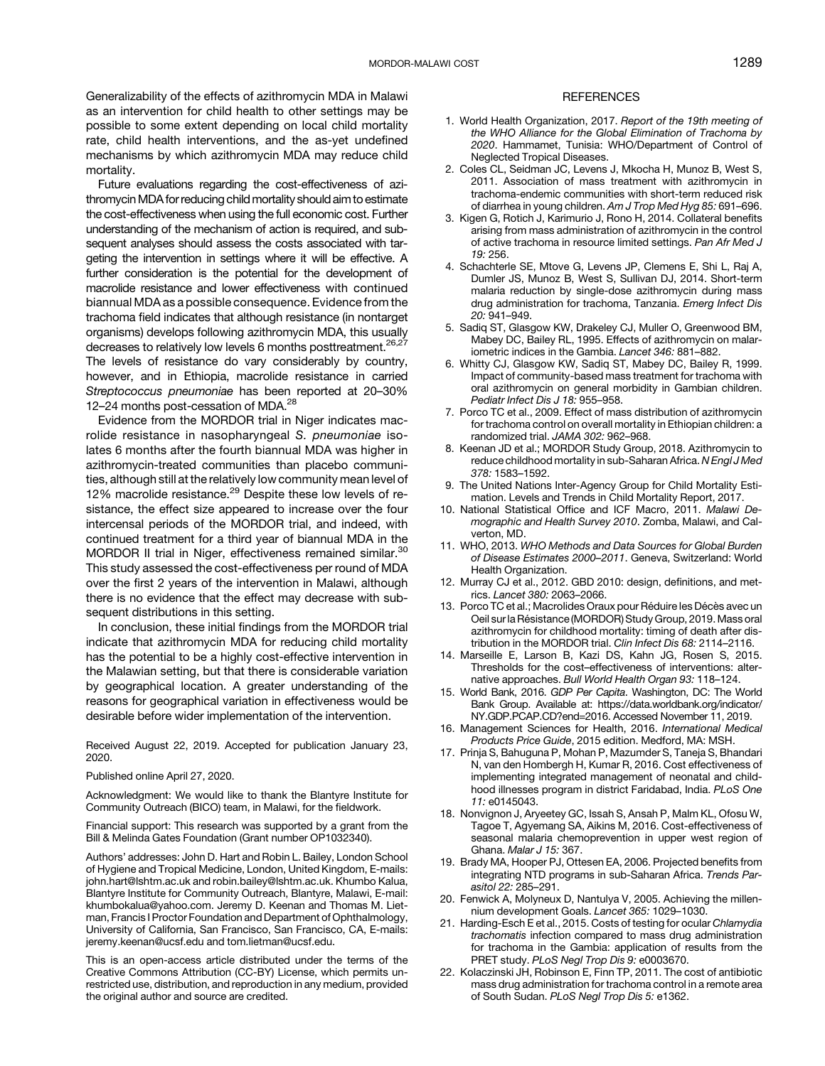<span id="page-6-0"></span>Generalizability of the effects of azithromycin MDA in Malawi as an intervention for child health to other settings may be possible to some extent depending on local child mortality rate, child health interventions, and the as-yet undefined mechanisms by which azithromycin MDA may reduce child mortality.

Future evaluations regarding the cost-effectiveness of azithromycin MDA for reducing child mortality should aim to estimate the cost-effectiveness when using the full economic cost. Further understanding of the mechanism of action is required, and subsequent analyses should assess the costs associated with targeting the intervention in settings where it will be effective. A further consideration is the potential for the development of macrolide resistance and lower effectiveness with continued biannual MDA as a possible consequence. Evidence from the trachoma field indicates that although resistance (in nontarget organisms) develops following azithromycin MDA, this usually decreases to relatively low levels 6 months posttreatment.<sup>[26,27](#page-7-0)</sup> The levels of resistance do vary considerably by country, however, and in Ethiopia, macrolide resistance in carried Streptococcus pneumoniae has been reported at 20–30% 12-24 months post-cessation of MDA.<sup>28</sup>

Evidence from the MORDOR trial in Niger indicates macrolide resistance in nasopharyngeal S. pneumoniae isolates 6 months after the fourth biannual MDA was higher in azithromycin-treated communities than placebo communities, although still at the relatively low community mean level of 12% macrolide resistance. $29$  Despite these low levels of resistance, the effect size appeared to increase over the four intercensal periods of the MORDOR trial, and indeed, with continued treatment for a third year of biannual MDA in the MORDOR II trial in Niger, effectiveness remained similar.<sup>[30](#page-7-0)</sup> This study assessed the cost-effectiveness per round of MDA over the first 2 years of the intervention in Malawi, although there is no evidence that the effect may decrease with subsequent distributions in this setting.

In conclusion, these initial findings from the MORDOR trial indicate that azithromycin MDA for reducing child mortality has the potential to be a highly cost-effective intervention in the Malawian setting, but that there is considerable variation by geographical location. A greater understanding of the reasons for geographical variation in effectiveness would be desirable before wider implementation of the intervention.

Received August 22, 2019. Accepted for publication January 23, 2020.

Published online April 27, 2020.

Acknowledgment: We would like to thank the Blantyre Institute for Community Outreach (BICO) team, in Malawi, for the fieldwork.

Financial support: This research was supported by a grant from the Bill & Melinda Gates Foundation (Grant number OP1032340).

Authors' addresses: John D. Hart and Robin L. Bailey, London School of Hygiene and Tropical Medicine, London, United Kingdom, E-mails: [john.hart@lshtm.ac.uk](mailto:john.hart@lshtm.ac.uk) and [robin.bailey@lshtm.ac.uk](mailto:robin.bailey@lshtm.ac.uk). Khumbo Kalua, Blantyre Institute for Community Outreach, Blantyre, Malawi, E-mail: [khumbokalua@yahoo.com.](mailto:khumbokalua@yahoo.com) Jeremy D. Keenan and Thomas M. Lietman, Francis I Proctor Foundation and Department of Ophthalmology, University of California, San Francisco, San Francisco, CA, E-mails: [jeremy.keenan@ucsf.edu](mailto:jeremy.keenan@ucsf.edu) and [tom.lietman@ucsf.edu.](mailto:tom.lietman@ucsf.edu)

This is an open-access article distributed under the terms of the [Creative Commons Attribution \(CC-BY\) License](https://creativecommons.org/licenses/by/4.0/), which permits unrestricted use, distribution, and reproduction in any medium, provided the original author and source are credited.

#### **REFERENCES**

- 1. World Health Organization, 2017. Report of the 19th meeting of the WHO Alliance for the Global Elimination of Trachoma by 2020. Hammamet, Tunisia: WHO/Department of Control of Neglected Tropical Diseases.
- 2. Coles CL, Seidman JC, Levens J, Mkocha H, Munoz B, West S, 2011. Association of mass treatment with azithromycin in trachoma-endemic communities with short-term reduced risk of diarrhea in young children. Am J Trop Med Hyg 85: 691–696.
- 3. Kigen G, Rotich J, Karimurio J, Rono H, 2014. Collateral benefits arising from mass administration of azithromycin in the control of active trachoma in resource limited settings. Pan Afr Med J 19: 256.
- 4. Schachterle SE, Mtove G, Levens JP, Clemens E, Shi L, Raj A, Dumler JS, Munoz B, West S, Sullivan DJ, 2014. Short-term malaria reduction by single-dose azithromycin during mass drug administration for trachoma, Tanzania. Emerg Infect Dis 20: 941–949.
- 5. Sadiq ST, Glasgow KW, Drakeley CJ, Muller O, Greenwood BM, Mabey DC, Bailey RL, 1995. Effects of azithromycin on malariometric indices in the Gambia. Lancet 346: 881–882.
- 6. Whitty CJ, Glasgow KW, Sadiq ST, Mabey DC, Bailey R, 1999. Impact of community-based mass treatment for trachoma with oral azithromycin on general morbidity in Gambian children. Pediatr Infect Dis J 18: 955-958.
- 7. Porco TC et al., 2009. Effect of mass distribution of azithromycin for trachoma control on overall mortality in Ethiopian children: a randomized trial. JAMA 302: 962–968.
- 8. Keenan JD et al.; MORDOR Study Group, 2018. Azithromycin to reduce childhood mortality in sub-Saharan Africa. N Engl J Med 378: 1583–1592.
- 9. The United Nations Inter-Agency Group for Child Mortality Estimation. Levels and Trends in Child Mortality Report, 2017.
- 10. National Statistical Office and ICF Macro, 2011. Malawi Demographic and Health Survey 2010. Zomba, Malawi, and Calverton, MD.
- 11. WHO, 2013. WHO Methods and Data Sources for Global Burden of Disease Estimates 2000–2011. Geneva, Switzerland: World Health Organization.
- 12. Murray CJ et al., 2012. GBD 2010: design, definitions, and metrics. Lancet 380: 2063–2066.
- 13. Porco TC et al.; Macrolides Oraux pour Réduire les Décès avec un Oeil sur la Résistance (MORDOR) Study Group, 2019. Mass oral azithromycin for childhood mortality: timing of death after distribution in the MORDOR trial. Clin Infect Dis 68: 2114–2116.
- 14. Marseille E, Larson B, Kazi DS, Kahn JG, Rosen S, 2015. Thresholds for the cost–effectiveness of interventions: alternative approaches. Bull World Health Organ 93: 118–124.
- 15. World Bank, 2016. GDP Per Capita. Washington, DC: The World Bank Group. Available at: [https://data.worldbank.org/indicator/](https://data.worldbank.org/indicator/NY.GDP.PCAP.CD?end=2016) [NY.GDP.PCAP.CD?end=2016](https://data.worldbank.org/indicator/NY.GDP.PCAP.CD?end=2016). Accessed November 11, 2019.
- 16. Management Sciences for Health, 2016. International Medical Products Price Guide, 2015 edition. Medford, MA: MSH.
- 17. Prinja S, Bahuguna P, Mohan P, Mazumder S, Taneja S, Bhandari N, van den Hombergh H, Kumar R, 2016. Cost effectiveness of implementing integrated management of neonatal and childhood illnesses program in district Faridabad, India. PLoS One 11: e0145043.
- 18. Nonvignon J, Aryeetey GC, Issah S, Ansah P, Malm KL, Ofosu W, Tagoe T, Agyemang SA, Aikins M, 2016. Cost-effectiveness of seasonal malaria chemoprevention in upper west region of Ghana. Malar J 15: 367.
- 19. Brady MA, Hooper PJ, Ottesen EA, 2006. Projected benefits from integrating NTD programs in sub-Saharan Africa. Trends Parasitol 22: 285–291.
- 20. Fenwick A, Molyneux D, Nantulya V, 2005. Achieving the millennium development Goals. Lancet 365: 1029–1030.
- 21. Harding-Esch E et al., 2015. Costs of testing for ocular Chlamydia trachomatis infection compared to mass drug administration for trachoma in the Gambia: application of results from the PRET study. PLoS Negl Trop Dis 9: e0003670.
- 22. Kolaczinski JH, Robinson E, Finn TP, 2011. The cost of antibiotic mass drug administration for trachoma control in a remote area of South Sudan. PLoS Negl Trop Dis 5: e1362.